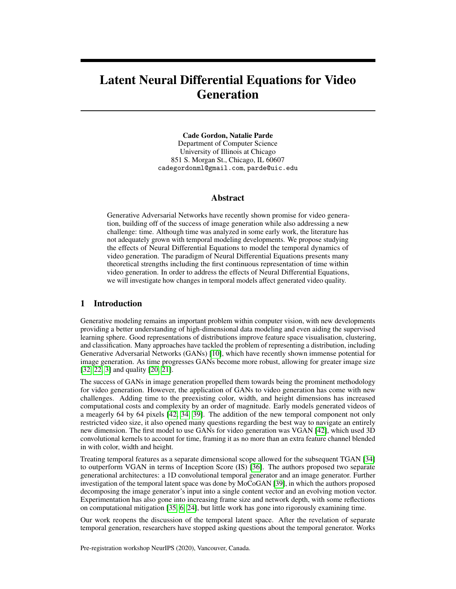# Latent Neural Differential Equations for Video Generation

Cade Gordon, Natalie Parde Department of Computer Science University of Illinois at Chicago 851 S. Morgan St., Chicago, IL 60607 cadegordonml@gmail.com, parde@uic.edu

# Abstract

Generative Adversarial Networks have recently shown promise for video generation, building off of the success of image generation while also addressing a new challenge: time. Although time was analyzed in some early work, the literature has not adequately grown with temporal modeling developments. We propose studying the effects of Neural Differential Equations to model the temporal dynamics of video generation. The paradigm of Neural Differential Equations presents many theoretical strengths including the first continuous representation of time within video generation. In order to address the effects of Neural Differential Equations, we will investigate how changes in temporal models affect generated video quality.

# 1 Introduction

Generative modeling remains an important problem within computer vision, with new developments providing a better understanding of high-dimensional data modeling and even aiding the supervised learning sphere. Good representations of distributions improve feature space visualisation, clustering, and classification. Many approaches have tackled the problem of representing a distribution, including Generative Adversarial Networks (GANs) [\[10\]](#page-5-0), which have recently shown immense potential for image generation. As time progresses GANs become more robust, allowing for greater image size [\[32,](#page-6-0) [22,](#page-6-1) [3\]](#page-5-1) and quality [\[20,](#page-5-2) [21\]](#page-5-3).

The success of GANs in image generation propelled them towards being the prominent methodology for video generation. However, the application of GANs to video generation has come with new challenges. Adding time to the preexisting color, width, and height dimensions has increased computational costs and complexity by an order of magnitude. Early models generated videos of a meagerly 64 by 64 pixels [\[42,](#page-6-2) [34,](#page-6-3) [39\]](#page-6-4). The addition of the new temporal component not only restricted video size, it also opened many questions regarding the best way to navigate an entirely new dimension. The first model to use GANs for video generation was VGAN [\[42\]](#page-6-2), which used 3D convolutional kernels to account for time, framing it as no more than an extra feature channel blended in with color, width and height.

Treating temporal features as a separate dimensional scope allowed for the subsequent TGAN [\[34\]](#page-6-3) to outperform VGAN in terms of Inception Score (IS) [\[36\]](#page-6-5). The authors proposed two separate generational architectures: a 1D convolutional temporal generator and an image generator. Further investigation of the temporal latent space was done by MoCoGAN [\[39\]](#page-6-4), in which the authors proposed decomposing the image generator's input into a single content vector and an evolving motion vector. Experimentation has also gone into increasing frame size and network depth, with some reflections on computational mitigation [\[35,](#page-6-6) [6,](#page-5-4) [24\]](#page-6-7), but little work has gone into rigorously examining time.

Our work reopens the discussion of the temporal latent space. After the revelation of separate temporal generation, researchers have stopped asking questions about the temporal generator. Works

Pre-registration workshop NeurIPS (2020), Vancouver, Canada.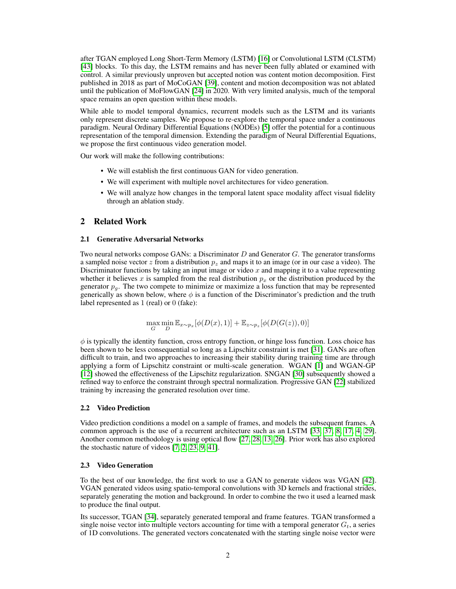after TGAN employed Long Short-Term Memory (LSTM) [\[16\]](#page-5-5) or Convolutional LSTM (CLSTM) [\[43\]](#page-6-8) blocks. To this day, the LSTM remains and has never been fully ablated or examined with control. A similar previously unproven but accepted notion was content motion decomposition. First published in 2018 as part of MoCoGAN [\[39\]](#page-6-4), content and motion decomposition was not ablated until the publication of MoFlowGAN [\[24\]](#page-6-7) in 2020. With very limited analysis, much of the temporal space remains an open question within these models.

While able to model temporal dynamics, recurrent models such as the LSTM and its variants only represent discrete samples. We propose to re-explore the temporal space under a continuous paradigm. Neural Ordinary Differential Equations (NODEs) [\[5\]](#page-5-6) offer the potential for a continuous representation of the temporal dimension. Extending the paradigm of Neural Differential Equations, we propose the first continuous video generation model.

Our work will make the following contributions:

- We will establish the first continuous GAN for video generation.
- We will experiment with multiple novel architectures for video generation.
- We will analyze how changes in the temporal latent space modality affect visual fidelity through an ablation study.

## 2 Related Work

#### 2.1 Generative Adversarial Networks

Two neural networks compose GANs: a Discriminator D and Generator G. The generator transforms a sampled noise vector z from a distribution  $p<sub>z</sub>$  and maps it to an image (or in our case a video). The Discriminator functions by taking an input image or video  $x$  and mapping it to a value representing whether it believes x is sampled from the real distribution  $p_x$  or the distribution produced by the generator  $p<sub>g</sub>$ . The two compete to minimize or maximize a loss function that may be represented generically as shown below, where  $\phi$  is a function of the Discriminator's prediction and the truth label represented as 1 (real) or 0 (fake):

$$
\max_{G} \min_{D} \mathbb{E}_{x \sim p_x} [\phi(D(x), 1)] + \mathbb{E}_{z \sim p_z} [\phi(D(G(z)), 0)]
$$

 $\phi$  is typically the identity function, cross entropy function, or hinge loss function. Loss choice has been shown to be less consequential so long as a Lipschitz constraint is met [\[31\]](#page-6-9). GANs are often difficult to train, and two approaches to increasing their stability during training time are through applying a form of Lipschitz constraint or multi-scale generation. WGAN [\[1\]](#page-5-7) and WGAN-GP [\[12\]](#page-5-8) showed the effectiveness of the Lipschitz regularization. SNGAN [\[30\]](#page-6-10) subsequently showed a refined way to enforce the constraint through spectral normalization. Progressive GAN [\[22\]](#page-6-1) stabilized training by increasing the generated resolution over time.

#### 2.2 Video Prediction

Video prediction conditions a model on a sample of frames, and models the subsequent frames. A common approach is the use of a recurrent architecture such as an LSTM [\[33,](#page-6-11) [37,](#page-6-12) [8,](#page-5-9) [17,](#page-5-10) [4,](#page-5-11) [29\]](#page-6-13). Another common methodology is using optical flow [\[27,](#page-6-14) [28,](#page-6-15) [13,](#page-5-12) [26\]](#page-6-16). Prior work has also explored the stochastic nature of videos [\[7,](#page-5-13) [2,](#page-5-14) [23,](#page-6-17) [9,](#page-5-15) [41\]](#page-6-18).

## 2.3 Video Generation

To the best of our knowledge, the first work to use a GAN to generate videos was VGAN [\[42\]](#page-6-2). VGAN generated videos using spatio-temporal convolutions with 3D kernels and fractional strides, separately generating the motion and background. In order to combine the two it used a learned mask to produce the final output.

Its successor, TGAN [\[34\]](#page-6-3), separately generated temporal and frame features. TGAN transformed a single noise vector into multiple vectors accounting for time with a temporal generator  $G_t$ , a series of 1D convolutions. The generated vectors concatenated with the starting single noise vector were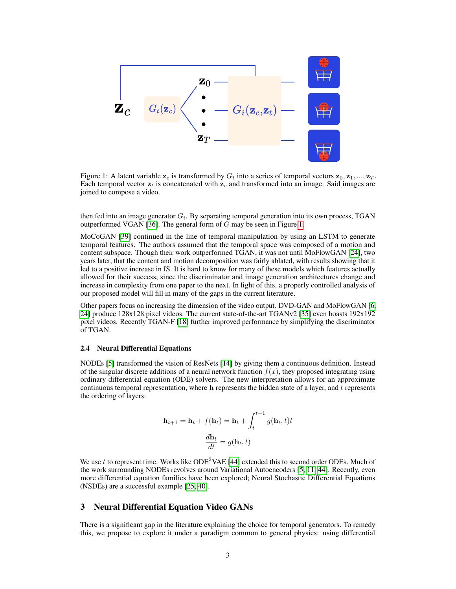

<span id="page-2-0"></span>Figure 1: A latent variable  $z_c$  is transformed by  $G_t$  into a series of temporal vectors  $z_0, z_1, ..., z_T$ . Each temporal vector  $z_t$  is concatenated with  $z_c$  and transformed into an image. Said images are joined to compose a video.

then fed into an image generator  $G_i$ . By separating temporal generation into its own process, TGAN outperformed VGAN [\[36\]](#page-6-5). The general form of  $G$  may be seen in Figure [1.](#page-2-0)

MoCoGAN [\[39\]](#page-6-4) continued in the line of temporal manipulation by using an LSTM to generate temporal features. The authors assumed that the temporal space was composed of a motion and content subspace. Though their work outperformed TGAN, it was not until MoFlowGAN [\[24\]](#page-6-7), two years later, that the content and motion decomposition was fairly ablated, with results showing that it led to a positive increase in IS. It is hard to know for many of these models which features actually allowed for their success, since the discriminator and image generation architectures change and increase in complexity from one paper to the next. In light of this, a properly controlled analysis of our proposed model will fill in many of the gaps in the current literature.

Other papers focus on increasing the dimension of the video output. DVD-GAN and MoFlowGAN [\[6,](#page-5-4) [24\]](#page-6-7) produce 128x128 pixel videos. The current state-of-the-art TGANv2 [\[35\]](#page-6-6) even boasts 192x192 pixel videos. Recently TGAN-F [\[18\]](#page-5-16) further improved performance by simplifying the discriminator of TGAN.

#### 2.4 Neural Differential Equations

NODEs [\[5\]](#page-5-6) transformed the vision of ResNets [\[14\]](#page-5-17) by giving them a continuous definition. Instead of the singular discrete additions of a neural network function  $f(x)$ , they proposed integrating using ordinary differential equation (ODE) solvers. The new interpretation allows for an approximate continuous temporal representation, where  $h$  represents the hidden state of a layer, and  $t$  represents the ordering of layers:

$$
\mathbf{h}_{t+1} = \mathbf{h}_t + f(\mathbf{h}_t) = \mathbf{h}_t + \int_t^{t+1} g(\mathbf{h}_t, t) t
$$

$$
\frac{d\mathbf{h}_t}{dt} = g(\mathbf{h}_t, t)
$$

We use t to represent time. Works like  $ODE<sup>2</sup>VAE [44]$  $ODE<sup>2</sup>VAE [44]$  extended this to second order ODEs. Much of the work surrounding NODEs revolves around Variational Autoencoders [\[5,](#page-5-6) [11,](#page-5-18) [44\]](#page-6-19). Recently, even more differential equation families have been explored; Neural Stochastic Differential Equations (NSDEs) are a successful example [\[25,](#page-6-20) [40\]](#page-6-21).

# 3 Neural Differential Equation Video GANs

There is a significant gap in the literature explaining the choice for temporal generators. To remedy this, we propose to explore it under a paradigm common to general physics: using differential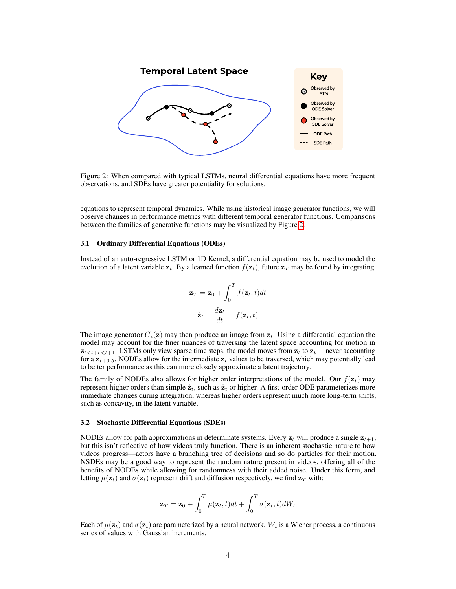

<span id="page-3-0"></span>Figure 2: When compared with typical LSTMs, neural differential equations have more frequent observations, and SDEs have greater potentiality for solutions.

equations to represent temporal dynamics. While using historical image generator functions, we will observe changes in performance metrics with different temporal generator functions. Comparisons between the families of generative functions may be visualized by Figure [2.](#page-3-0)

#### 3.1 Ordinary Differential Equations (ODEs)

Instead of an auto-regressive LSTM or 1D Kernel, a differential equation may be used to model the evolution of a latent variable  $z_t$ . By a learned function  $f(z_t)$ , future  $z_T$  may be found by integrating:

$$
\mathbf{z}_T = \mathbf{z}_0 + \int_0^T f(\mathbf{z}_t, t) dt
$$

$$
\dot{\mathbf{z}}_t = \frac{d\mathbf{z}_t}{dt} = f(\mathbf{z}_t, t)
$$

The image generator  $G_i(\mathbf{z})$  may then produce an image from  $\mathbf{z}_t$ . Using a differential equation the model may account for the finer nuances of traversing the latent space accounting for motion in  $z_{t \leq t+\epsilon \leq t+1}$ . LSTMs only view sparse time steps; the model moves from  $z_t$  to  $z_{t+1}$  never accounting for a  $z_{t+0.5}$ . NODEs allow for the intermediate  $z_t$  values to be traversed, which may potentially lead to better performance as this can more closely approximate a latent trajectory.

The family of NODEs also allows for higher order interpretations of the model. Our  $f(z_t)$  may represent higher orders than simple  $\dot{z}_t$ , such as  $\ddot{z}_t$  or higher. A first-order ODE parameterizes more immediate changes during integration, whereas higher orders represent much more long-term shifts, such as concavity, in the latent variable.

#### 3.2 Stochastic Differential Equations (SDEs)

NODEs allow for path approximations in determinate systems. Every  $z_t$  will produce a single  $z_{t+1}$ , but this isn't reflective of how videos truly function. There is an inherent stochastic nature to how videos progress—actors have a branching tree of decisions and so do particles for their motion. NSDEs may be a good way to represent the random nature present in videos, offering all of the benefits of NODEs while allowing for randomness with their added noise. Under this form, and letting  $\mu(\mathbf{z}_t)$  and  $\sigma(\mathbf{z}_t)$  represent drift and diffusion respectively, we find  $\mathbf{z}_T$  with:

$$
\mathbf{z}_T = \mathbf{z}_0 + \int_0^T \mu(\mathbf{z}_t, t) dt + \int_0^T \sigma(\mathbf{z}_t, t) dW_t
$$

Each of  $\mu(\mathbf{z}_t)$  and  $\sigma(\mathbf{z}_t)$  are parameterized by a neural network.  $W_t$  is a Wiener process, a continuous series of values with Gaussian increments.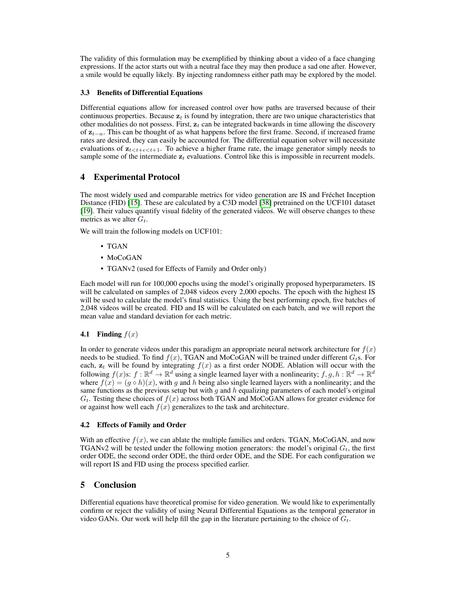The validity of this formulation may be exemplified by thinking about a video of a face changing expressions. If the actor starts out with a neutral face they may then produce a sad one after. However, a smile would be equally likely. By injecting randomness either path may be explored by the model.

# 3.3 Benefits of Differential Equations

Differential equations allow for increased control over how paths are traversed because of their continuous properties. Because  $z_t$  is found by integration, there are two unique characteristics that other modalities do not possess. First,  $z_t$  can be integrated backwards in time allowing the discovery of  $z_{t-n}$ . This can be thought of as what happens before the first frame. Second, if increased frame rates are desired, they can easily be accounted for. The differential equation solver will necessitate evaluations of  $z_{t \leq t+\epsilon \leq t+1}$ . To achieve a higher frame rate, the image generator simply needs to sample some of the intermediate  $z_t$  evaluations. Control like this is impossible in recurrent models.

# 4 Experimental Protocol

The most widely used and comparable metrics for video generation are IS and Fréchet Inception Distance (FID) [\[15\]](#page-5-19). These are calculated by a C3D model [\[38\]](#page-6-22) pretrained on the UCF101 dataset [\[19\]](#page-5-20). Their values quantify visual fidelity of the generated videos. We will observe changes to these metrics as we alter  $G_t$ .

We will train the following models on UCF101:

- TGAN
- MoCoGAN
- TGANv2 (used for Effects of Family and Order only)

Each model will run for 100,000 epochs using the model's originally proposed hyperparameters. IS will be calculated on samples of 2,048 videos every 2,000 epochs. The epoch with the highest IS will be used to calculate the model's final statistics. Using the best performing epoch, five batches of 2,048 videos will be created. FID and IS will be calculated on each batch, and we will report the mean value and standard deviation for each metric.

## 4.1 Finding  $f(x)$

In order to generate videos under this paradigm an appropriate neural network architecture for  $f(x)$ needs to be studied. To find  $f(x)$ , TGAN and MoCoGAN will be trained under different  $G_t$ s. For each,  $z_t$  will be found by integrating  $f(x)$  as a first order NODE. Ablation will occur with the following  $f(x)$ s:  $f : \mathbb{R}^d \to \mathbb{R}^d$  using a single learned layer with a nonlinearity;  $f, g, h : \mathbb{R}^d \to \mathbb{R}^d$ where  $f(x) = (g \circ h)(x)$ , with g and h being also single learned layers with a nonlinearity; and the same functions as the previous setup but with g and h equalizing parameters of each model's original  $G_t$ . Testing these choices of  $f(x)$  across both TGAN and MoCoGAN allows for greater evidence for or against how well each  $f(x)$  generalizes to the task and architecture.

#### 4.2 Effects of Family and Order

With an effective  $f(x)$ , we can ablate the multiple families and orders. TGAN, MoCoGAN, and now TGANv2 will be tested under the following motion generators: the model's original  $G_t$ , the first order ODE, the second order ODE, the third order ODE, and the SDE. For each configuration we will report IS and FID using the process specified earlier.

# 5 Conclusion

Differential equations have theoretical promise for video generation. We would like to experimentally confirm or reject the validity of using Neural Differential Equations as the temporal generator in video GANs. Our work will help fill the gap in the literature pertaining to the choice of  $G_t$ .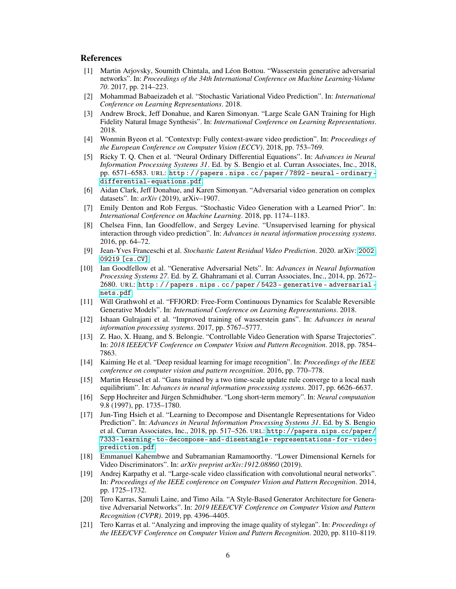# References

- <span id="page-5-7"></span>[1] Martin Arjovsky, Soumith Chintala, and Léon Bottou. "Wasserstein generative adversarial networks". In: *Proceedings of the 34th International Conference on Machine Learning-Volume 70*. 2017, pp. 214–223.
- <span id="page-5-14"></span>[2] Mohammad Babaeizadeh et al. "Stochastic Variational Video Prediction". In: *International Conference on Learning Representations*. 2018.
- <span id="page-5-1"></span>[3] Andrew Brock, Jeff Donahue, and Karen Simonyan. "Large Scale GAN Training for High Fidelity Natural Image Synthesis". In: *International Conference on Learning Representations*. 2018.
- <span id="page-5-11"></span>[4] Wonmin Byeon et al. "Contextvp: Fully context-aware video prediction". In: *Proceedings of the European Conference on Computer Vision (ECCV)*. 2018, pp. 753–769.
- <span id="page-5-6"></span>[5] Ricky T. Q. Chen et al. "Neural Ordinary Differential Equations". In: *Advances in Neural Information Processing Systems 31*. Ed. by S. Bengio et al. Curran Associates, Inc., 2018, pp. 6571–6583. URL: [http : / / papers . nips . cc / paper / 7892 - neural - ordinary](http://papers.nips.cc/paper/7892-neural-ordinary-differential-equations.pdf)  [differential-equations.pdf](http://papers.nips.cc/paper/7892-neural-ordinary-differential-equations.pdf).
- <span id="page-5-4"></span>[6] Aidan Clark, Jeff Donahue, and Karen Simonyan. "Adversarial video generation on complex datasets". In: *arXiv* (2019), arXiv–1907.
- <span id="page-5-13"></span>[7] Emily Denton and Rob Fergus. "Stochastic Video Generation with a Learned Prior". In: *International Conference on Machine Learning*. 2018, pp. 1174–1183.
- <span id="page-5-9"></span>[8] Chelsea Finn, Ian Goodfellow, and Sergey Levine. "Unsupervised learning for physical interaction through video prediction". In: *Advances in neural information processing systems*. 2016, pp. 64–72.
- <span id="page-5-15"></span>[9] Jean-Yves Franceschi et al. *Stochastic Latent Residual Video Prediction*. 2020. arXiv: [2002.](https://arxiv.org/abs/2002.09219) [09219 \[cs.CV\]](https://arxiv.org/abs/2002.09219).
- <span id="page-5-0"></span>[10] Ian Goodfellow et al. "Generative Adversarial Nets". In: *Advances in Neural Information Processing Systems 27*. Ed. by Z. Ghahramani et al. Curran Associates, Inc., 2014, pp. 2672– 2680. URL: [http : / / papers . nips . cc / paper / 5423 - generative - adversarial](http://papers.nips.cc/paper/5423-generative-adversarial-nets.pdf)  [nets.pdf](http://papers.nips.cc/paper/5423-generative-adversarial-nets.pdf).
- <span id="page-5-18"></span>[11] Will Grathwohl et al. "FFJORD: Free-Form Continuous Dynamics for Scalable Reversible Generative Models". In: *International Conference on Learning Representations*. 2018.
- <span id="page-5-8"></span>[12] Ishaan Gulrajani et al. "Improved training of wasserstein gans". In: *Advances in neural information processing systems*. 2017, pp. 5767–5777.
- <span id="page-5-12"></span>[13] Z. Hao, X. Huang, and S. Belongie. "Controllable Video Generation with Sparse Trajectories". In: *2018 IEEE/CVF Conference on Computer Vision and Pattern Recognition*. 2018, pp. 7854– 7863.
- <span id="page-5-17"></span>[14] Kaiming He et al. "Deep residual learning for image recognition". In: *Proceedings of the IEEE conference on computer vision and pattern recognition*. 2016, pp. 770–778.
- <span id="page-5-19"></span>[15] Martin Heusel et al. "Gans trained by a two time-scale update rule converge to a local nash equilibrium". In: *Advances in neural information processing systems*. 2017, pp. 6626–6637.
- <span id="page-5-5"></span>[16] Sepp Hochreiter and Jürgen Schmidhuber. "Long short-term memory". In: *Neural computation* 9.8 (1997), pp. 1735–1780.
- <span id="page-5-10"></span>[17] Jun-Ting Hsieh et al. "Learning to Decompose and Disentangle Representations for Video Prediction". In: *Advances in Neural Information Processing Systems 31*. Ed. by S. Bengio et al. Curran Associates, Inc., 2018, pp. 517–526. URL: [http://papers.nips.cc/paper/](http://papers.nips.cc/paper/7333-learning-to-decompose-and-disentangle-representations-for-video-prediction.pdf) [7333-learning-to-decompose-and-disentangle-representations-for-video](http://papers.nips.cc/paper/7333-learning-to-decompose-and-disentangle-representations-for-video-prediction.pdf)[prediction.pdf](http://papers.nips.cc/paper/7333-learning-to-decompose-and-disentangle-representations-for-video-prediction.pdf).
- <span id="page-5-16"></span>[18] Emmanuel Kahembwe and Subramanian Ramamoorthy. "Lower Dimensional Kernels for Video Discriminators". In: *arXiv preprint arXiv:1912.08860* (2019).
- <span id="page-5-20"></span>[19] Andrej Karpathy et al. "Large-scale video classification with convolutional neural networks". In: *Proceedings of the IEEE conference on Computer Vision and Pattern Recognition*. 2014, pp. 1725–1732.
- <span id="page-5-2"></span>[20] Tero Karras, Samuli Laine, and Timo Aila. "A Style-Based Generator Architecture for Generative Adversarial Networks". In: *2019 IEEE/CVF Conference on Computer Vision and Pattern Recognition (CVPR)*. 2019, pp. 4396–4405.
- <span id="page-5-3"></span>[21] Tero Karras et al. "Analyzing and improving the image quality of stylegan". In: *Proceedings of the IEEE/CVF Conference on Computer Vision and Pattern Recognition*. 2020, pp. 8110–8119.